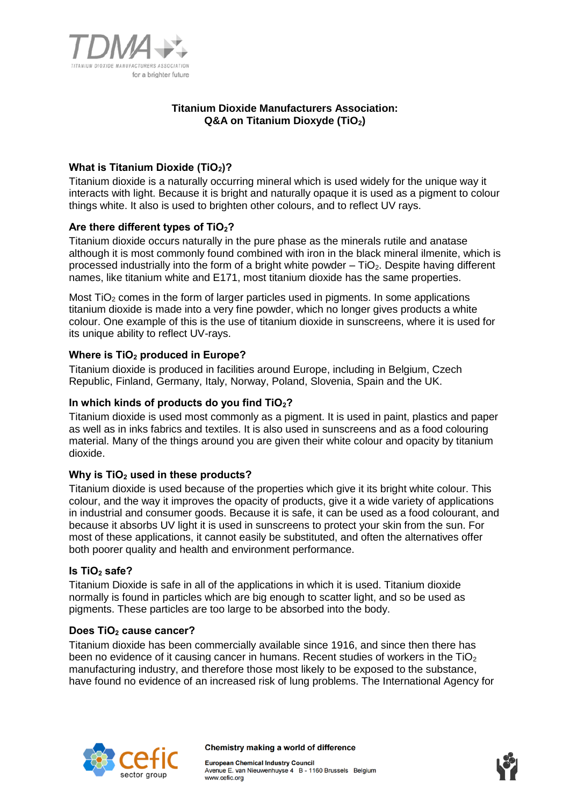

# **Titanium Dioxide Manufacturers Association: Q&A on Titanium Dioxyde (TiO2)**

# **What is Titanium Dioxide (TiO2)?**

Titanium dioxide is a naturally occurring mineral which is used widely for the unique way it interacts with light. Because it is bright and naturally opaque it is used as a pigment to colour things white. It also is used to brighten other colours, and to reflect UV rays.

# **Are there different types of TiO2?**

Titanium dioxide occurs naturally in the pure phase as the minerals rutile and anatase although it is most commonly found combined with iron in the black mineral ilmenite, which is processed industrially into the form of a bright white powder  $-$  TiO<sub>2</sub>. Despite having different names, like titanium white and E171, most titanium dioxide has the same properties.

Most  $TiO<sub>2</sub>$  comes in the form of larger particles used in pigments. In some applications titanium dioxide is made into a very fine powder, which no longer gives products a white colour. One example of this is the use of titanium dioxide in sunscreens, where it is used for its unique ability to reflect UV-rays.

# **Where is TiO<sup>2</sup> produced in Europe?**

Titanium dioxide is produced in facilities around Europe, including in Belgium, Czech Republic, Finland, Germany, Italy, Norway, Poland, Slovenia, Spain and the UK.

# **In which kinds of products do you find TiO2?**

Titanium dioxide is used most commonly as a pigment. It is used in paint, plastics and paper as well as in inks fabrics and textiles. It is also used in sunscreens and as a food colouring material. Many of the things around you are given their white colour and opacity by titanium dioxide.

# **Why is TiO<sup>2</sup> used in these products?**

Titanium dioxide is used because of the properties which give it its bright white colour. This colour, and the way it improves the opacity of products, give it a wide variety of applications in industrial and consumer goods. Because it is safe, it can be used as a food colourant, and because it absorbs UV light it is used in sunscreens to protect your skin from the sun. For most of these applications, it cannot easily be substituted, and often the alternatives offer both poorer quality and health and environment performance.

# **Is TiO<sup>2</sup> safe?**

Titanium Dioxide is safe in all of the applications in which it is used. Titanium dioxide normally is found in particles which are big enough to scatter light, and so be used as pigments. These particles are too large to be absorbed into the body.

#### **Does TiO<sup>2</sup> cause cancer?**

Titanium dioxide has been commercially available since 1916, and since then there has been no evidence of it causing cancer in humans. Recent studies of workers in the  $TiO<sub>2</sub>$ manufacturing industry, and therefore those most likely to be exposed to the substance, have found no evidence of an increased risk of lung problems. The International Agency for



Chemistry making a world of difference

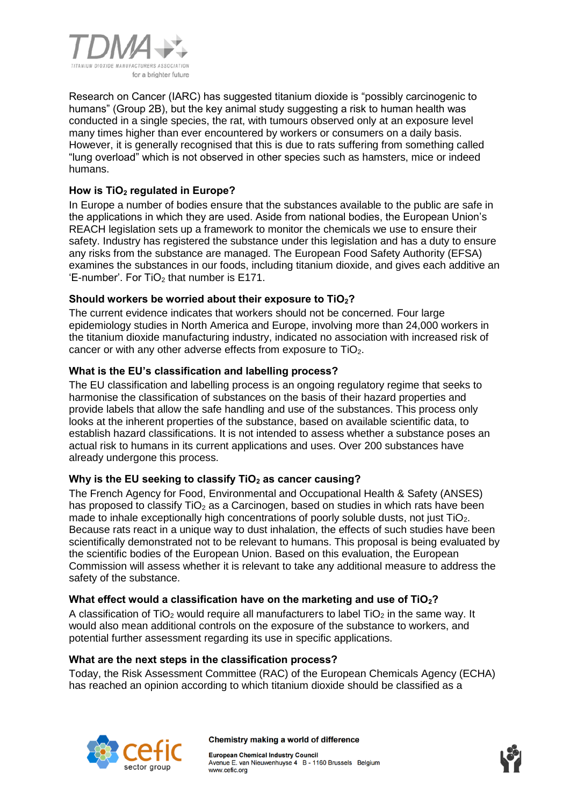

Research on Cancer (IARC) has suggested titanium dioxide is "possibly carcinogenic to humans" (Group 2B), but the key animal study suggesting a risk to human health was conducted in a single species, the rat, with tumours observed only at an exposure level many times higher than ever encountered by workers or consumers on a daily basis. However, it is generally recognised that this is due to rats suffering from something called "lung overload" which is not observed in other species such as hamsters, mice or indeed humans.

# **How is TiO<sup>2</sup> regulated in Europe?**

In Europe a number of bodies ensure that the substances available to the public are safe in the applications in which they are used. Aside from national bodies, the European Union's REACH legislation sets up a framework to monitor the chemicals we use to ensure their safety. Industry has registered the substance under this legislation and has a duty to ensure any risks from the substance are managed. The European Food Safety Authority (EFSA) examines the substances in our foods, including titanium dioxide, and gives each additive an  $E$ -number'. For TiO<sub>2</sub> that number is E171.

# **Should workers be worried about their exposure to TiO2?**

The current evidence indicates that workers should not be concerned. Four large epidemiology studies in North America and Europe, involving more than 24,000 workers in the titanium dioxide manufacturing industry, indicated no association with increased risk of cancer or with any other adverse effects from exposure to TiO<sub>2</sub>.

### **What is the EU's classification and labelling process?**

The EU classification and labelling process is an ongoing regulatory regime that seeks to harmonise the classification of substances on the basis of their hazard properties and provide labels that allow the safe handling and use of the substances. This process only looks at the inherent properties of the substance, based on available scientific data, to establish hazard classifications. It is not intended to assess whether a substance poses an actual risk to humans in its current applications and uses. Over 200 substances have already undergone this process.

# **Why is the EU seeking to classify TiO<sup>2</sup> as cancer causing?**

The French Agency for Food, Environmental and Occupational Health & Safety (ANSES) has proposed to classify  $TiO<sub>2</sub>$  as a Carcinogen, based on studies in which rats have been made to inhale exceptionally high concentrations of poorly soluble dusts, not just TiO<sub>2</sub>. Because rats react in a unique way to dust inhalation, the effects of such studies have been scientifically demonstrated not to be relevant to humans. This proposal is being evaluated by the scientific bodies of the European Union. Based on this evaluation, the European Commission will assess whether it is relevant to take any additional measure to address the safety of the substance.

#### **What effect would a classification have on the marketing and use of TiO2?**

A classification of TiO<sub>2</sub> would require all manufacturers to label TiO<sub>2</sub> in the same way. It would also mean additional controls on the exposure of the substance to workers, and potential further assessment regarding its use in specific applications.

#### **What are the next steps in the classification process?**

Today, the Risk Assessment Committee (RAC) of the European Chemicals Agency (ECHA) has reached an opinion according to which titanium dioxide should be classified as a



#### Chemistry making a world of difference

**European Chemical Industry Council** Avenue E. van Nieuwenhuyse 4 B - 1160 Brussels Belgium www.cefic.org

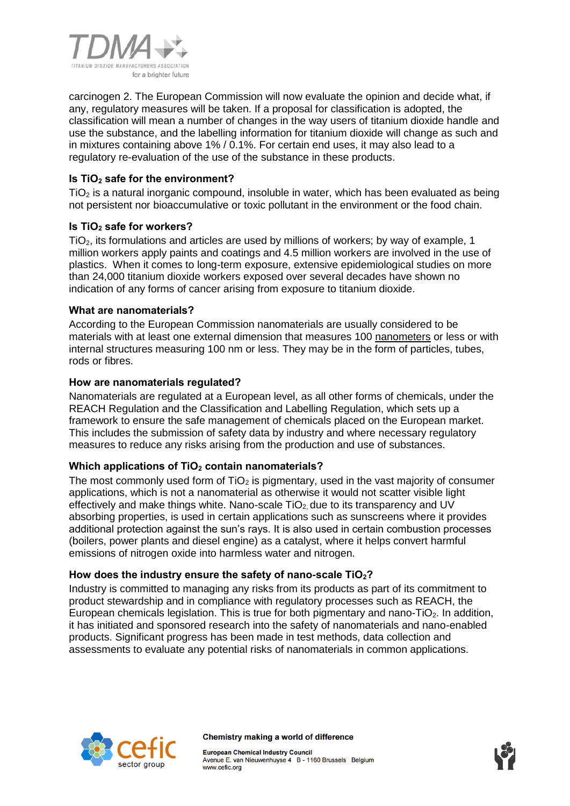

carcinogen 2. The European Commission will now evaluate the opinion and decide what, if any, regulatory measures will be taken. If a proposal for classification is adopted, the classification will mean a number of changes in the way users of titanium dioxide handle and use the substance, and the labelling information for titanium dioxide will change as such and in mixtures containing above 1% / 0.1%. For certain end uses, it may also lead to a regulatory re-evaluation of the use of the substance in these products.

# **Is TiO<sup>2</sup> safe for the environment?**

 $TiO<sub>2</sub>$  is a natural inorganic compound, insoluble in water, which has been evaluated as being not persistent nor bioaccumulative or toxic pollutant in the environment or the food chain.

# **Is TiO<sup>2</sup> safe for workers?**

TiO2, its formulations and articles are used by millions of workers; by way of example, 1 million workers apply paints and coatings and 4.5 million workers are involved in the use of plastics. When it comes to long-term exposure, extensive epidemiological studies on more than 24,000 titanium dioxide workers exposed over several decades have shown no indication of any forms of cancer arising from exposure to titanium dioxide.

# **What are nanomaterials?**

According to the European Commission nanomaterials are usually considered to be materials with at least one external dimension that measures 100 [nanometers](http://ec.europa.eu/health/scientific_committees/opinions_layman/nanomaterials/en/glossary/mno/nanometre.htm) or less or with internal structures measuring 100 nm or less. They may be in the form of particles, tubes, rods or fibres.

# **How are nanomaterials regulated?**

Nanomaterials are regulated at a European level, as all other forms of chemicals, under the REACH Regulation and the Classification and Labelling Regulation, which sets up a framework to ensure the safe management of chemicals placed on the European market. This includes the submission of safety data by industry and where necessary regulatory measures to reduce any risks arising from the production and use of substances.

# **Which applications of TiO<sup>2</sup> contain nanomaterials?**

The most commonly used form of  $TiO<sub>2</sub>$  is pigmentary, used in the vast majority of consumer applications, which is not a nanomaterial as otherwise it would not scatter visible light effectively and make things white. Nano-scale  $TiO<sub>2</sub>$  due to its transparency and UV absorbing properties, is used in certain applications such as sunscreens where it provides additional protection against the sun's rays. It is also used in certain combustion processes (boilers, power plants and diesel engine) as a catalyst, where it helps convert harmful emissions of nitrogen oxide into harmless water and nitrogen.

# **How does the industry ensure the safety of nano-scale TiO2?**

Industry is committed to managing any risks from its products as part of its commitment to product stewardship and in compliance with regulatory processes such as REACH, the European chemicals legislation. This is true for both pigmentary and nano-TiO<sub>2</sub>. In addition, it has initiated and sponsored research into the safety of nanomaterials and nano-enabled products. Significant progress has been made in test methods, data collection and assessments to evaluate any potential risks of nanomaterials in common applications.



Chemistry making a world of difference

**European Chemical Industry Council** Avenue E. van Nieuwenhuyse 4 B - 1160 Brussels Belgium www.cefic.org